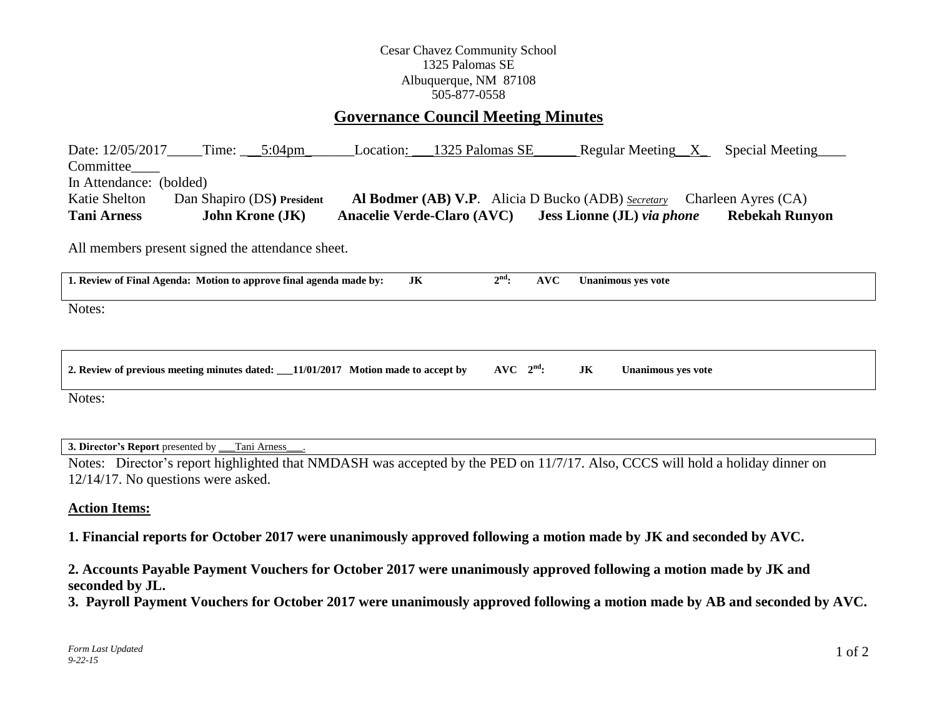## Cesar Chavez Community School 1325 Palomas SE Albuquerque, NM 87108 505-877-0558

# **Governance Council Meeting Minutes**

Date:  $12/05/2017$  Time:  $5:04$ pm Location:  $1325$  Palomas SE Regular Meeting X Special Meeting Committee In Attendance: (bolded) Katie Shelton Dan Shapiro (DS**) President Al Bodmer (AB) V.P**. Alicia D Bucko (ADB) *Secretary* Charleen Ayres (CA) **Tani Arness John Krone (JK) Anacelie Verde-Claro (AVC) Jess Lionne (JL)** *via phone* **Rebekah Runyon**

All members present signed the attendance sheet.

| 1. Review of Final Agenda: Motion to approve final agenda made by:<br>JK           | $2nd$ :       | AVC |    | Unanimous ves vote |
|------------------------------------------------------------------------------------|---------------|-----|----|--------------------|
| Notes:                                                                             |               |     |    |                    |
|                                                                                    |               |     |    |                    |
| 2. Review of previous meeting minutes dated: __11/01/2017 Motion made to accept by | $AVC$ $2nd$ : |     | JK | Unanimous yes vote |

Notes:

**3. Director's Report** presented by \_\_\_Tani Arness\_\_\_.

Notes: Director's report highlighted that NMDASH was accepted by the PED on 11/7/17. Also, CCCS will hold a holiday dinner on 12/14/17. No questions were asked.

#### **Action Items:**

**1. Financial reports for October 2017 were unanimously approved following a motion made by JK and seconded by AVC.**

**2. Accounts Payable Payment Vouchers for October 2017 were unanimously approved following a motion made by JK and seconded by JL.** 

**3. Payroll Payment Vouchers for October 2017 were unanimously approved following a motion made by AB and seconded by AVC.**